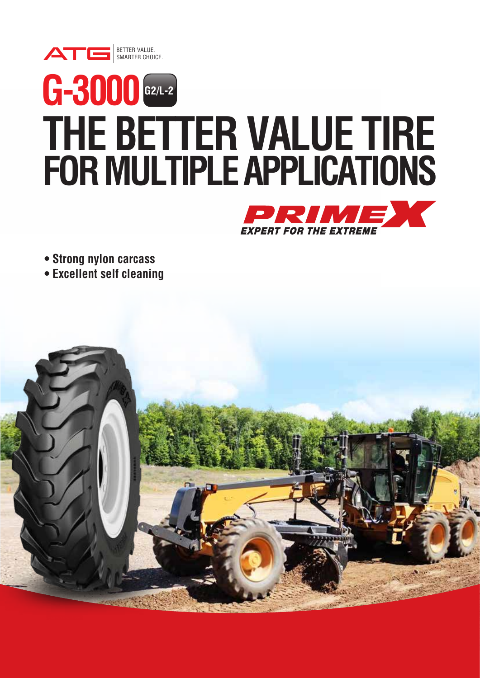

## **G-3000 G2/L-2 THE BETTER VALUE TIRE FOR MULTIPLE APPLICATIONS**



**• Strong nylon carcass** 

**• Excellent self cleaning**